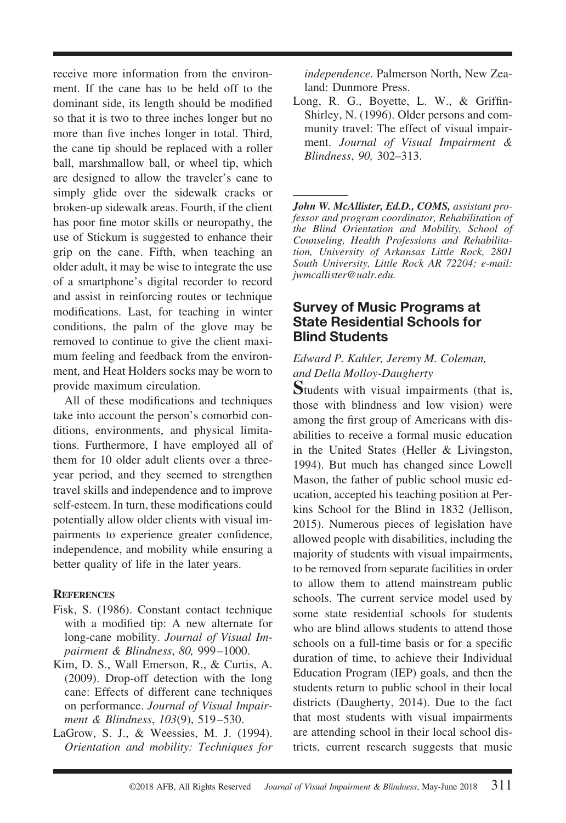receive more information from the environment. If the cane has to be held off to the dominant side, its length should be modified so that it is two to three inches longer but no more than five inches longer in total. Third, the cane tip should be replaced with a roller ball, marshmallow ball, or wheel tip, which are designed to allow the traveler's cane to simply glide over the sidewalk cracks or broken-up sidewalk areas. Fourth, if the client has poor fine motor skills or neuropathy, the use of Stickum is suggested to enhance their grip on the cane. Fifth, when teaching an older adult, it may be wise to integrate the use of a smartphone's digital recorder to record and assist in reinforcing routes or technique modifications. Last, for teaching in winter conditions, the palm of the glove may be removed to continue to give the client maximum feeling and feedback from the environment, and Heat Holders socks may be worn to provide maximum circulation.

All of these modifications and techniques take into account the person's comorbid conditions, environments, and physical limitations. Furthermore, I have employed all of them for 10 older adult clients over a threeyear period, and they seemed to strengthen travel skills and independence and to improve self-esteem. In turn, these modifications could potentially allow older clients with visual impairments to experience greater confidence, independence, and mobility while ensuring a better quality of life in the later years.

### **REFERENCES**

- Fisk, S. (1986). Constant contact technique with a modified tip: A new alternate for long-cane mobility. *Journal of Visual Impairment & Blindness*, *80,* 999 –1000.
- Kim, D. S., Wall Emerson, R., & Curtis, A. (2009). Drop-off detection with the long cane: Effects of different cane techniques on performance. *Journal of Visual Impairment & Blindness*, *103*(9), 519 –530.
- LaGrow, S. J., & Weessies, M. J. (1994). *Orientation and mobility: Techniques for*

*independence.* Palmerson North, New Zealand: Dunmore Press.

Long, R. G., Boyette, L. W., & Griffin-Shirley, N. (1996). Older persons and community travel: The effect of visual impairment. *Journal of Visual Impairment & Blindness*, *90,* 302–313.

*John W. McAllister, Ed.D., COMS, assistant professor and program coordinator, Rehabilitation of the Blind Orientation and Mobility, School of Counseling, Health Professions and Rehabilitation, University of Arkansas Little Rock, 2801 South University, Little Rock AR 72204; e-mail: jwmcallister@ualr.edu.*

# **Survey of Music Programs at State Residential Schools for Blind Students**

## *Edward P. Kahler, Jeremy M. Coleman, and Della Molloy-Daugherty*

**S**tudents with visual impairments (that is, those with blindness and low vision) were among the first group of Americans with disabilities to receive a formal music education in the United States (Heller & Livingston, 1994). But much has changed since Lowell Mason, the father of public school music education, accepted his teaching position at Perkins School for the Blind in 1832 (Jellison, 2015). Numerous pieces of legislation have allowed people with disabilities, including the majority of students with visual impairments, to be removed from separate facilities in order to allow them to attend mainstream public schools. The current service model used by some state residential schools for students who are blind allows students to attend those schools on a full-time basis or for a specific duration of time, to achieve their Individual Education Program (IEP) goals, and then the students return to public school in their local districts (Daugherty, 2014). Due to the fact that most students with visual impairments are attending school in their local school districts, current research suggests that music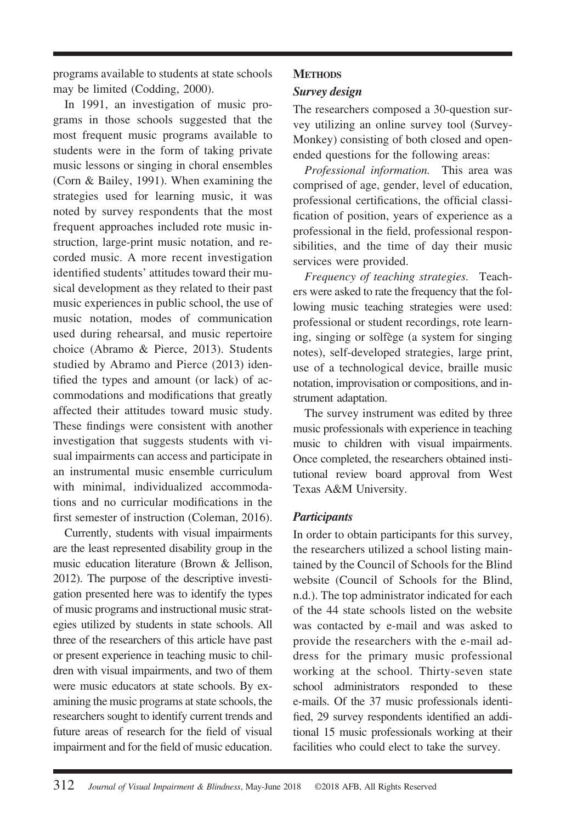programs available to students at state schools may be limited (Codding, 2000).

In 1991, an investigation of music programs in those schools suggested that the most frequent music programs available to students were in the form of taking private music lessons or singing in choral ensembles (Corn & Bailey, 1991). When examining the strategies used for learning music, it was noted by survey respondents that the most frequent approaches included rote music instruction, large-print music notation, and recorded music. A more recent investigation identified students' attitudes toward their musical development as they related to their past music experiences in public school, the use of music notation, modes of communication used during rehearsal, and music repertoire choice (Abramo & Pierce, 2013). Students studied by Abramo and Pierce (2013) identified the types and amount (or lack) of accommodations and modifications that greatly affected their attitudes toward music study. These findings were consistent with another investigation that suggests students with visual impairments can access and participate in an instrumental music ensemble curriculum with minimal, individualized accommodations and no curricular modifications in the first semester of instruction (Coleman, 2016).

Currently, students with visual impairments are the least represented disability group in the music education literature (Brown & Jellison, 2012). The purpose of the descriptive investigation presented here was to identify the types of music programs and instructional music strategies utilized by students in state schools. All three of the researchers of this article have past or present experience in teaching music to children with visual impairments, and two of them were music educators at state schools. By examining the music programs at state schools, the researchers sought to identify current trends and future areas of research for the field of visual impairment and for the field of music education.

### **METHODS**

### *Survey design*

The researchers composed a 30-question survey utilizing an online survey tool (Survey-Monkey) consisting of both closed and openended questions for the following areas:

*Professional information.* This area was comprised of age, gender, level of education, professional certifications, the official classification of position, years of experience as a professional in the field, professional responsibilities, and the time of day their music services were provided.

*Frequency of teaching strategies.* Teachers were asked to rate the frequency that the following music teaching strategies were used: professional or student recordings, rote learning, singing or solfège (a system for singing notes), self-developed strategies, large print, use of a technological device, braille music notation, improvisation or compositions, and instrument adaptation.

The survey instrument was edited by three music professionals with experience in teaching music to children with visual impairments. Once completed, the researchers obtained institutional review board approval from West Texas A&M University.

### *Participants*

In order to obtain participants for this survey, the researchers utilized a school listing maintained by the Council of Schools for the Blind website (Council of Schools for the Blind, n.d.). The top administrator indicated for each of the 44 state schools listed on the website was contacted by e-mail and was asked to provide the researchers with the e-mail address for the primary music professional working at the school. Thirty-seven state school administrators responded to these e-mails. Of the 37 music professionals identified, 29 survey respondents identified an additional 15 music professionals working at their facilities who could elect to take the survey.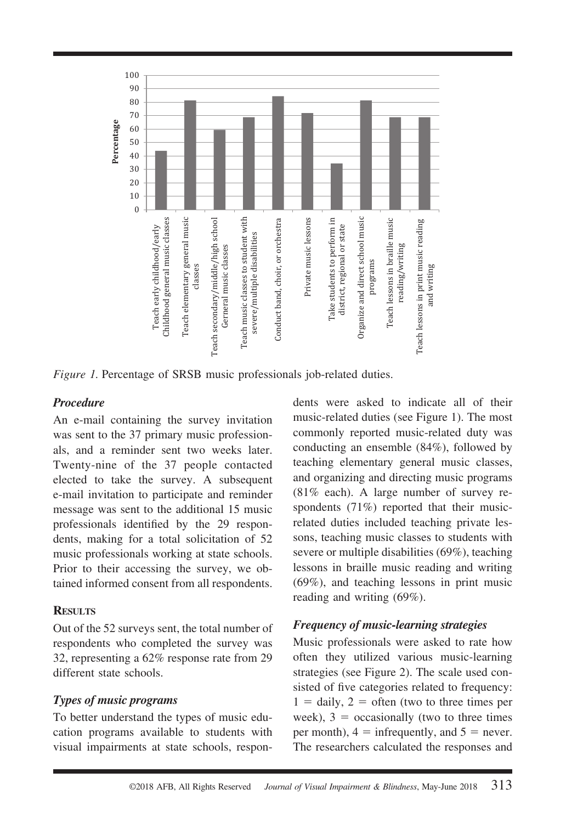

*Figure 1.* Percentage of SRSB music professionals job-related duties.

### *Procedure*

An e-mail containing the survey invitation was sent to the 37 primary music professionals, and a reminder sent two weeks later. Twenty-nine of the 37 people contacted elected to take the survey. A subsequent e-mail invitation to participate and reminder message was sent to the additional 15 music professionals identified by the 29 respondents, making for a total solicitation of 52 music professionals working at state schools. Prior to their accessing the survey, we obtained informed consent from all respondents.

### **RESULTS**

Out of the 52 surveys sent, the total number of respondents who completed the survey was 32, representing a 62% response rate from 29 different state schools.

### *Types of music programs*

To better understand the types of music education programs available to students with visual impairments at state schools, respondents were asked to indicate all of their music-related duties (see Figure 1). The most commonly reported music-related duty was conducting an ensemble (84%), followed by teaching elementary general music classes, and organizing and directing music programs (81% each). A large number of survey respondents (71%) reported that their musicrelated duties included teaching private lessons, teaching music classes to students with severe or multiple disabilities (69%), teaching lessons in braille music reading and writing (69%), and teaching lessons in print music reading and writing (69%).

## *Frequency of music-learning strategies*

Music professionals were asked to rate how often they utilized various music-learning strategies (see Figure 2). The scale used consisted of five categories related to frequency:  $1 =$  daily,  $2 =$  often (two to three times per week),  $3 =$  occasionally (two to three times per month),  $4 =$  infrequently, and  $5 =$  never. The researchers calculated the responses and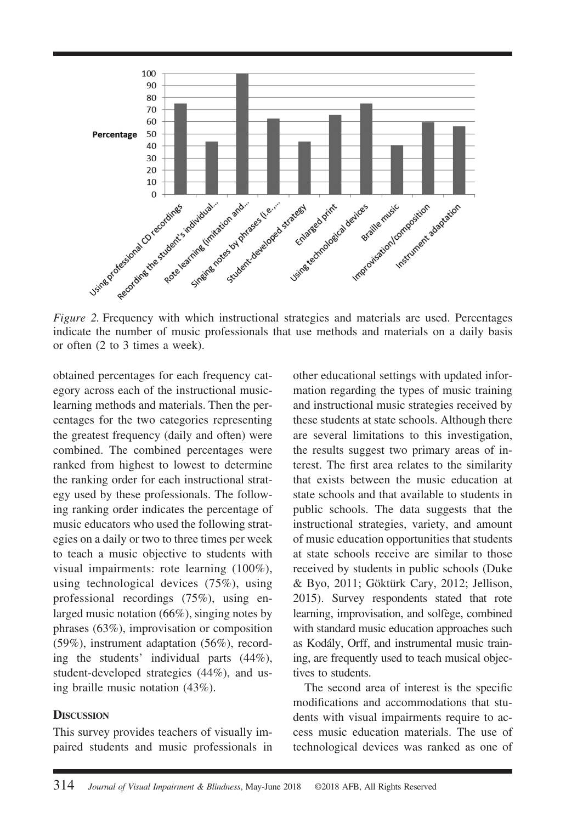

indicate the number of music professionals that use methods and materials on a daily basis or often (2 to 3 times a week).

obtained percentages for each frequency category across each of the instructional musiclearning methods and materials. Then the percentages for the two categories representing the greatest frequency (daily and often) were combined. The combined percentages were ranked from highest to lowest to determine the ranking order for each instructional strategy used by these professionals. The following ranking order indicates the percentage of music educators who used the following strategies on a daily or two to three times per week to teach a music objective to students with visual impairments: rote learning (100%), using technological devices (75%), using professional recordings (75%), using enlarged music notation (66%), singing notes by phrases (63%), improvisation or composition (59%), instrument adaptation (56%), recording the students' individual parts (44%), student-developed strategies (44%), and using braille music notation (43%).

#### **DISCUSSION**

This survey provides teachers of visually impaired students and music professionals in

other educational settings with updated information regarding the types of music training and instructional music strategies received by these students at state schools. Although there are several limitations to this investigation, the results suggest two primary areas of interest. The first area relates to the similarity that exists between the music education at state schools and that available to students in public schools. The data suggests that the instructional strategies, variety, and amount of music education opportunities that students at state schools receive are similar to those received by students in public schools (Duke & Byo, 2011; Göktürk Cary, 2012; Jellison, 2015). Survey respondents stated that rote learning, improvisation, and solfège, combined with standard music education approaches such as Kodály, Orff, and instrumental music training, are frequently used to teach musical objectives to students.

The second area of interest is the specific modifications and accommodations that students with visual impairments require to access music education materials. The use of technological devices was ranked as one of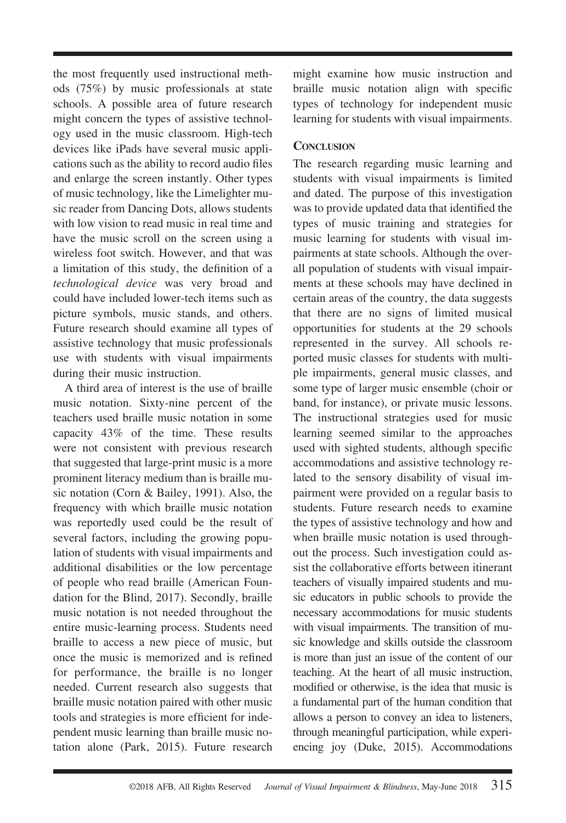the most frequently used instructional methods (75%) by music professionals at state schools. A possible area of future research might concern the types of assistive technology used in the music classroom. High-tech devices like iPads have several music applications such as the ability to record audio files and enlarge the screen instantly. Other types of music technology, like the Limelighter music reader from Dancing Dots, allows students with low vision to read music in real time and have the music scroll on the screen using a wireless foot switch. However, and that was a limitation of this study, the definition of a *technological device* was very broad and could have included lower-tech items such as picture symbols, music stands, and others. Future research should examine all types of assistive technology that music professionals use with students with visual impairments during their music instruction.

A third area of interest is the use of braille music notation. Sixty-nine percent of the teachers used braille music notation in some capacity 43% of the time. These results were not consistent with previous research that suggested that large-print music is a more prominent literacy medium than is braille music notation (Corn & Bailey, 1991). Also, the frequency with which braille music notation was reportedly used could be the result of several factors, including the growing population of students with visual impairments and additional disabilities or the low percentage of people who read braille (American Foundation for the Blind, 2017). Secondly, braille music notation is not needed throughout the entire music-learning process. Students need braille to access a new piece of music, but once the music is memorized and is refined for performance, the braille is no longer needed. Current research also suggests that braille music notation paired with other music tools and strategies is more efficient for independent music learning than braille music notation alone (Park, 2015). Future research

might examine how music instruction and braille music notation align with specific types of technology for independent music learning for students with visual impairments.

### **CONCLUSION**

The research regarding music learning and students with visual impairments is limited and dated. The purpose of this investigation was to provide updated data that identified the types of music training and strategies for music learning for students with visual impairments at state schools. Although the overall population of students with visual impairments at these schools may have declined in certain areas of the country, the data suggests that there are no signs of limited musical opportunities for students at the 29 schools represented in the survey. All schools reported music classes for students with multiple impairments, general music classes, and some type of larger music ensemble (choir or band, for instance), or private music lessons. The instructional strategies used for music learning seemed similar to the approaches used with sighted students, although specific accommodations and assistive technology related to the sensory disability of visual impairment were provided on a regular basis to students. Future research needs to examine the types of assistive technology and how and when braille music notation is used throughout the process. Such investigation could assist the collaborative efforts between itinerant teachers of visually impaired students and music educators in public schools to provide the necessary accommodations for music students with visual impairments. The transition of music knowledge and skills outside the classroom is more than just an issue of the content of our teaching. At the heart of all music instruction, modified or otherwise, is the idea that music is a fundamental part of the human condition that allows a person to convey an idea to listeners, through meaningful participation, while experiencing joy (Duke, 2015). Accommodations